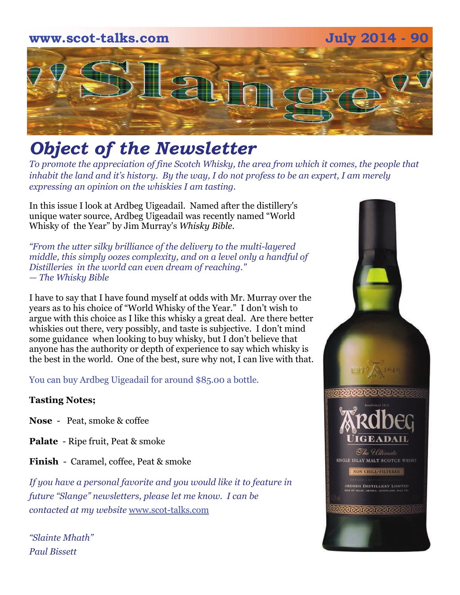## **www.scot-talks.com July 2014 - 90** 21

### *Object of the Newsletter*

*To promote the appreciation of fine Scotch Whisky, the area from which it comes, the people that inhabit the land and it's history. By the way, I do not profess to be an expert, I am merely expressing an opinion on the whiskies I am tasting.* 

In this issue I look at Ardbeg Uigeadail. Named after the distillery's unique water source, Ardbeg Uigeadail was recently named "World Whisky of the Year" by Jim Murray's *Whisky Bible*.

*"From the utter silky brilliance of the delivery to the multi-layered middle, this simply oozes complexity, and on a level only a handful of Distilleries in the world can even dream of reaching." — The Whisky Bible*

I have to say that I have found myself at odds with Mr. Murray over the years as to his choice of "World Whisky of the Year." I don't wish to argue with this choice as I like this whisky a great deal. Are there better whiskies out there, very possibly, and taste is subjective. I don't mind some guidance when looking to buy whisky, but I don't believe that anyone has the authority or depth of experience to say which whisky is the best in the world. One of the best, sure why not, I can live with that.

You can buy Ardbeg Uigeadail for around \$85.00 a bottle.

#### **Tasting Notes;**

- **Nose**  Peat, smoke & coffee
- **Palate**  Ripe fruit, Peat & smoke

**Finish** - Caramel, coffee, Peat & smoke

*If you have a personal favorite and you would like it to feature in future "Slange" newsletters, please let me know. I can be contacted at my website* [www.scot-talks.com](http://www.scot-talks.com/default.html)

*"Slainte Mhath" Paul Bissett*

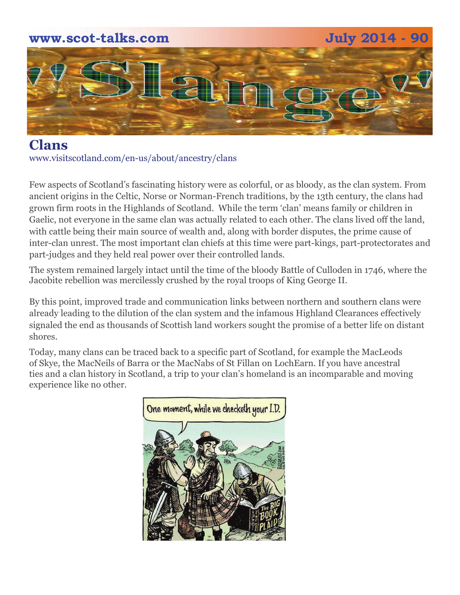## **www.scot-talks.com July 2014 - 90** 1211

**Clans**  www.visitscotland.com/en-us/about/ancestry/clans

Few aspects of Scotland's fascinating history were as colorful, or as bloody, as the clan system. From ancient origins in the Celtic, Norse or Norman-French traditions, by the 13th century, the clans had grown firm roots in the Highlands of Scotland. While the term 'clan' means family or children in Gaelic, not everyone in the same clan was actually related to each other. The clans lived off the land, with cattle being their main source of wealth and, along with border disputes, the prime cause of inter-clan unrest. The most important clan chiefs at this time were part-kings, part-protectorates and part-judges and they held real power over their controlled lands.

The system remained largely intact until the time of the bloody Battle of Culloden in 1746, where the Jacobite rebellion was mercilessly crushed by the royal troops of King George II.

By this point, improved trade and communication links between northern and southern clans were already leading to the dilution of the clan system and the infamous Highland Clearances effectively signaled the end as thousands of Scottish land workers sought the promise of a better life on distant shores.

Today, many clans can be traced back to a specific part of Scotland, for example the MacLeods of Skye, the MacNeils of Barra or the MacNabs of St Fillan on LochEarn. If you have ancestral ties and a clan history in Scotland, a trip to your clan's homeland is an incomparable and moving experience like no other.

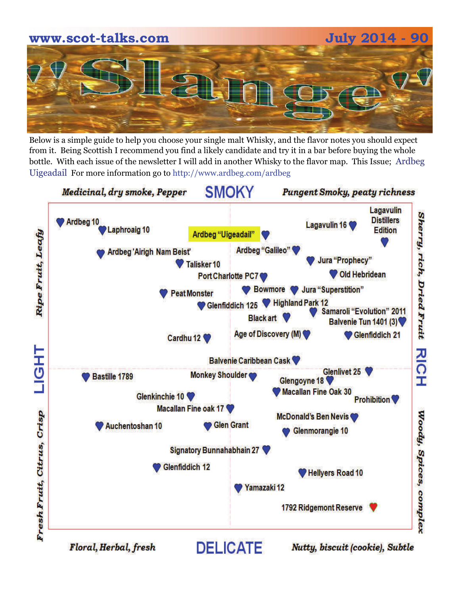# **www.scot-talks.com July 2014 - 90**

Below is a simple guide to help you choose your single malt Whisky, and the flavor notes you should expect from it. Being Scottish I recommend you find a likely candidate and try it in a bar before buying the whole bottle. With each issue of the newsletter I will add in another Whisky to the flavor map. This Issue; Ardbeg Uigeadail For more information go to http://www.ardbeg.com/ardbeg



Floral, Herbal, fresh

Nutty, biscuit (cookie), Subtle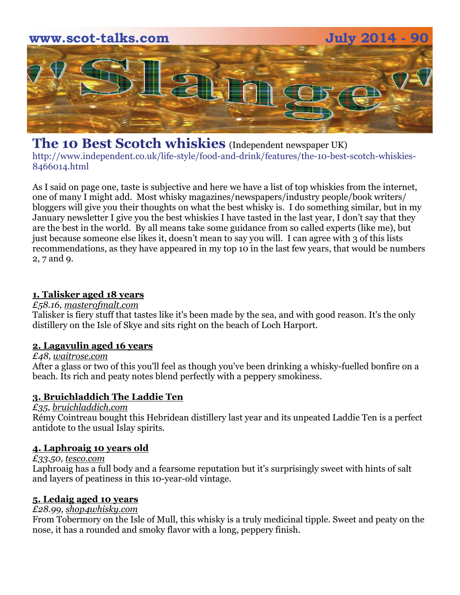

#### **The 10 Best Scotch whiskies** (Independent newspaper UK)

http://www.independent.co.uk/life-style/food-and-drink/features/the-10-best-scotch-whiskies-8466014.html

As I said on page one, taste is subjective and here we have a list of top whiskies from the internet, one of many I might add. Most whisky magazines/newspapers/industry people/book writers/ bloggers will give you their thoughts on what the best whisky is. I do something similar, but in my January newsletter I give you the best whiskies I have tasted in the last year, I don't say that they are the best in the world. By all means take some guidance from so called experts (like me), but just because someone else likes it, doesn't mean to say you will. I can agree with 3 of this lists recommendations, as they have appeared in my top 10 in the last few years, that would be numbers 2, 7 and 9.

#### **[1. Talisker aged 18 years](http://www.independent.co.uk/life-style/food-and-drink/features/the-10-best-scotch-whiskies-8466014.html?action=gallery)**

#### *£58.16, [masterofmalt.com](http://masterofmalt.com/)*

Talisker is fiery stuff that tastes like it's been made by the sea, and with good reason. It's the only distillery on the Isle of Skye and sits right on the beach of Loch Harport.

#### **[2. Lagavulin aged 16 years](http://www.independent.co.uk/life-style/food-and-drink/features/the-10-best-scotch-whiskies-8466014.html?action=gallery&ino=2)**

#### *£48, [waitrose.com](http://waitrose.com/)*

After a glass or two of this you'll feel as though you've been drinking a whisky-fuelled bonfire on a beach. Its rich and peaty notes blend perfectly with a peppery smokiness.

#### **[3. Bruichladdich The Laddie Ten](http://www.independent.co.uk/life-style/food-and-drink/features/the-10-best-scotch-whiskies-8466014.html?action=gallery&ino=3)**

#### *£35, [bruichladdich.com](http://bruichladdich.com/)*

Rémy Cointreau bought this Hebridean distillery last year and its unpeated Laddie Ten is a perfect antidote to the usual Islay spirits.

#### **[4. Laphroaig 10 years old](http://www.independent.co.uk/life-style/food-and-drink/features/the-10-best-scotch-whiskies-8466014.html?action=gallery&ino=4)**

#### *£33.50, [tesco.com](http://tesco.com/)*

Laphroaig has a full body and a fearsome reputation but it's surprisingly sweet with hints of salt and layers of peatiness in this 10-year-old vintage.

#### **[5. Ledaig aged 10 years](http://www.independent.co.uk/life-style/food-and-drink/features/the-10-best-scotch-whiskies-8466014.html?action=gallery&ino=5)**

#### *£28.99, [shop4whisky.com](http://shop4whisky.com/)*

From Tobermory on the Isle of Mull, this whisky is a truly medicinal tipple. Sweet and peaty on the nose, it has a rounded and smoky flavor with a long, peppery finish.